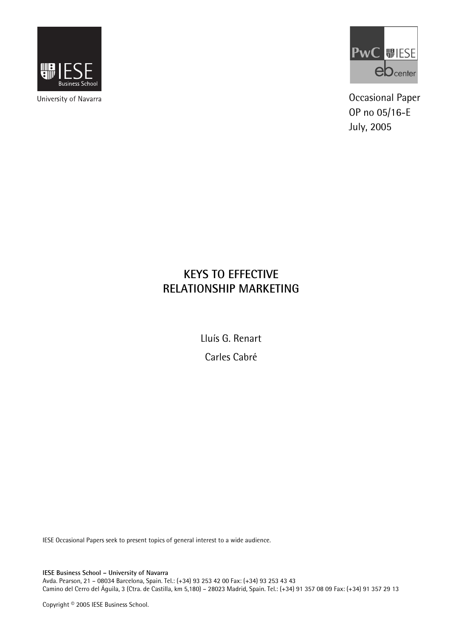

University of Navarra



Occasional Paper OP no 05/16-E July, 2005

# **KEYS TO EFFECTIVE RELATIONSHIP MARKETING**

Lluís G. Renart

Carles Cabré

IESE Occasional Papers seek to present topics of general interest to a wide audience.

**IESE Business School – University of Navarra**  Avda. Pearson, 21 – 08034 Barcelona, Spain. Tel.: (+34) 93 253 42 00 Fax: (+34) 93 253 43 43 Camino del Cerro del Águila, 3 (Ctra. de Castilla, km 5,180) – 28023 Madrid, Spain. Tel.: (+34) 91 357 08 09 Fax: (+34) 91 357 29 13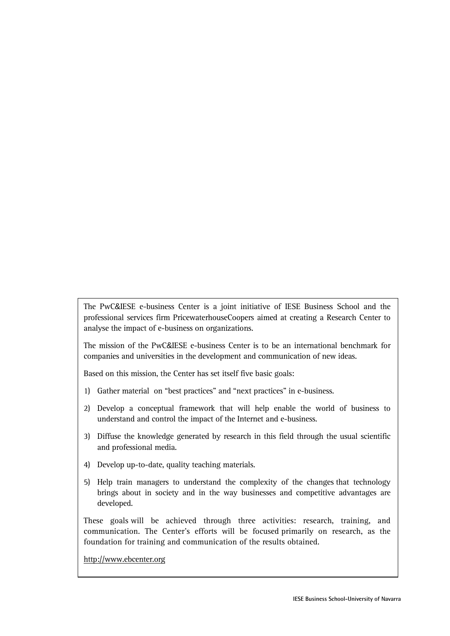The PwC&IESE e-business Center is a joint initiative of IESE Business School and the professional services firm PricewaterhouseCoopers aimed at creating a Research Center to analyse the impact of e-business on organizations.

The mission of the PwC&IESE e-business Center is to be an international benchmark for companies and universities in the development and communication of new ideas.

Based on this mission, the Center has set itself five basic goals:

- 1) Gather material on "best practices" and "next practices" in e-business.
- 2) Develop a conceptual framework that will help enable the world of business to understand and control the impact of the Internet and e-business.
- 3) Diffuse the knowledge generated by research in this field through the usual scientific and professional media.
- 4) Develop up-to-date, quality teaching materials.
- 5) Help train managers to understand the complexity of the changes that technology brings about in society and in the way businesses and competitive advantages are developed.

These goals will be achieved through three activities: research, training, and communication. The Center's efforts will be focused primarily on research, as the foundation for training and communication of the results obtained.

http://www.ebcenter.org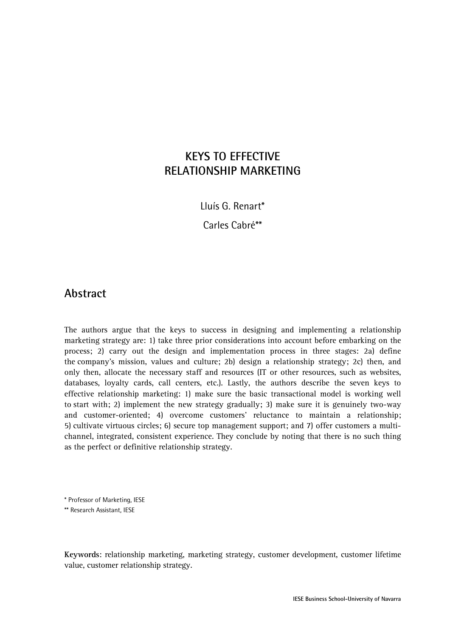## **KEYS TO EFFECTIVE RELATIONSHIP MARKETING**

Lluís G. Renart\*

Carles Cabré\*\*

### **Abstract**

The authors argue that the keys to success in designing and implementing a relationship marketing strategy are: 1) take three prior considerations into account before embarking on the process; 2) carry out the design and implementation process in three stages: 2a) define the company's mission, values and culture; 2b) design a relationship strategy; 2c) then, and only then, allocate the necessary staff and resources (IT or other resources, such as websites, databases, loyalty cards, call centers, etc.). Lastly, the authors describe the seven keys to effective relationship marketing: 1) make sure the basic transactional model is working well to start with; 2) implement the new strategy gradually; 3) make sure it is genuinely two-way and customer-oriented; 4) overcome customers' reluctance to maintain a relationship; 5) cultivate virtuous circles; 6) secure top management support; and 7) offer customers a multichannel, integrated, consistent experience. They conclude by noting that there is no such thing as the perfect or definitive relationship strategy.

\* Professor of Marketing, IESE

\*\* Research Assistant, IESE

**Keywords**: relationship marketing, marketing strategy, customer development, customer lifetime value, customer relationship strategy.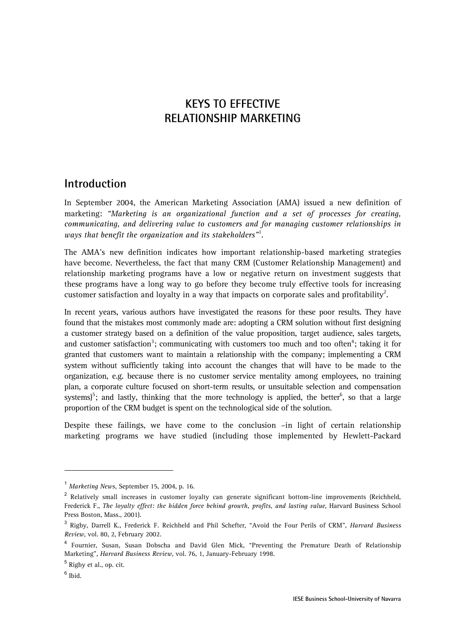## **KEYS TO EFFECTIVE RELATIONSHIP MARKETING**

### **Introduction**

In September 2004, the American Marketing Association (AMA) issued a new definition of marketing: *"Marketing is an organizational function and a set of processes for creating, communicating, and delivering value to customers and for managing customer relationships in ways that benefit the organization and its stakeholders"*<sup>1</sup> .

The AMA's new definition indicates how important relationship-based marketing strategies have become. Nevertheless, the fact that many CRM (Customer Relationship Management) and relationship marketing programs have a low or negative return on investment suggests that these programs have a long way to go before they become truly effective tools for increasing customer satisfaction and loyalty in a way that impacts on corporate sales and profitability<sup>2</sup>.

In recent years, various authors have investigated the reasons for these poor results. They have found that the mistakes most commonly made are: adopting a CRM solution without first designing a customer strategy based on a definition of the value proposition, target audience, sales targets, and customer satisfaction<sup>3</sup>; communicating with customers too much and too often<sup>4</sup>; taking it for granted that customers want to maintain a relationship with the company; implementing a CRM system without sufficiently taking into account the changes that will have to be made to the organization, e.g. because there is no customer service mentality among employees, no training plan, a corporate culture focused on short-term results, or unsuitable selection and compensation systems)<sup>5</sup>; and lastly, thinking that the more technology is applied, the better<sup>6</sup>, so that a large proportion of the CRM budget is spent on the technological side of the solution.

Despite these failings, we have come to the conclusion –in light of certain relationship marketing programs we have studied (including those implemented by Hewlett-Packard

<sup>1</sup> *Marketing News*, September 15, 2004, p. 16.

<sup>&</sup>lt;sup>2</sup> Relatively small increases in customer loyalty can generate significant bottom-line improvements (Reichheld, Frederick F., *The loyalty effect: the hidden force behind growth, profits, and lasting value*, Harvard Business School Press Boston, Mass., 2001).

<sup>3</sup> Rigby, Darrell K., Frederick F. Reichheld and Phil Schefter, "Avoid the Four Perils of CRM", *Harvard Business Review*, vol. 80, 2, February 2002.

<sup>&</sup>lt;sup>4</sup> Fournier, Susan, Susan Dobscha and David Glen Mick, "Preventing the Premature Death of Relationship Marketing", *Harvard Business Review*, vol. 76, 1, January-February 1998.

<sup>&</sup>lt;sup>5</sup> Rigby et al., op. cit.

 $6$  Ibid.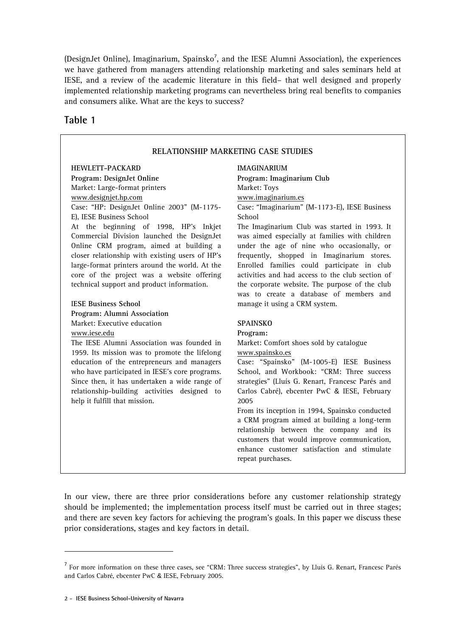(DesignJet Online), Imaginarium, Spainsko<sup>7</sup>, and the IESE Alumni Association), the experiences we have gathered from managers attending relationship marketing and sales seminars held at IESE, and a review of the academic literature in this field– that well designed and properly implemented relationship marketing programs can nevertheless bring real benefits to companies and consumers alike. What are the keys to success?

#### **Table 1**

#### **RELATIONSHIP MARKETING CASE STUDIES**

#### **HEWLETT-PACKARD**

**Program: DesignJet Online**

Market: Large-format printers

#### www.designjet.hp.com

Case: "HP: DesignJet Online 2003" (M-1175- E), IESE Business School

At the beginning of 1998, HP's Inkjet Commercial Division launched the DesignJet Online CRM program, aimed at building a closer relationship with existing users of HP's large-format printers around the world. At the core of the project was a website offering technical support and product information.

#### I**ESE Business School**

**Program: Alumni Association** Market: Executive education www.iese.edu

The IESE Alumni Association was founded in 1959. Its mission was to promote the lifelong education of the entrepreneurs and managers who have participated in IESE's core programs. Since then, it has undertaken a wide range of relationship-building activities designed to help it fulfill that mission.

**IMAGINARIUM Program: Imaginarium Club** Market: Toys www.imaginarium.es Case: "Imaginarium" (M-1173-E), IESE Business School

The Imaginarium Club was started in 1993. It was aimed especially at families with children under the age of nine who occasionally, or frequently, shopped in Imaginarium stores. Enrolled families could participate in club activities and had access to the club section of the corporate website. The purpose of the club was to create a database of members and manage it using a CRM system.

#### **SPAINSKO**

**Program:**

Market: Comfort shoes sold by catalogue www.spainsko.es

Case: "Spainsko" (M-1005-E) IESE Business School, and Workbook: "CRM: Three success strategies" (Lluís G. Renart, Francesc Parés and Carlos Cabré), ebcenter PwC & IESE, February 2005

From its inception in 1994, Spainsko conducted a CRM program aimed at building a long-term relationship between the company and its customers that would improve communication, enhance customer satisfaction and stimulate repeat purchases.

In our view, there are three prior considerations before any customer relationship strategy should be implemented; the implementation process itself must be carried out in three stages; and there are seven key factors for achieving the program's goals. In this paper we discuss these prior considerations, stages and key factors in detail.

<sup>&</sup>lt;sup>7</sup> For more information on these three cases, see "CRM: Three success strategies", by Lluís G. Renart, Francesc Parés and Carlos Cabré, ebcenter PwC & IESE, February 2005.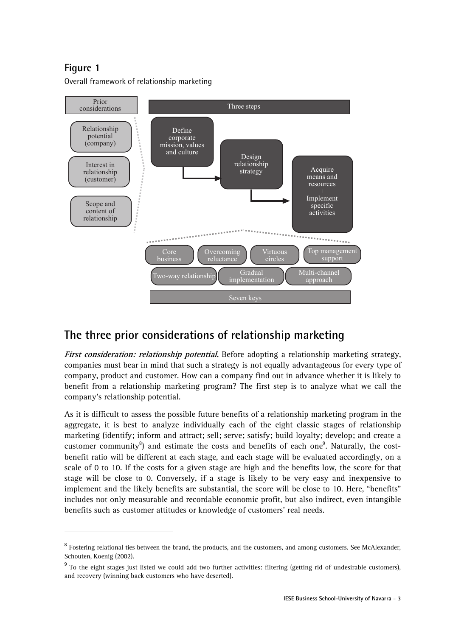$\overline{a}$ 

Overall framework of relationship marketing



## **The three prior considerations of relationship marketing**

**First consideration: relationship potential.** Before adopting a relationship marketing strategy, companies must bear in mind that such a strategy is not equally advantageous for every type of company, product and customer. How can a company find out in advance whether it is likely to benefit from a relationship marketing program? The first step is to analyze what we call the company's relationship potential.

As it is difficult to assess the possible future benefits of a relationship marketing program in the aggregate, it is best to analyze individually each of the eight classic stages of relationship marketing (identify; inform and attract; sell; serve; satisfy; build loyalty; develop; and create a customer community<sup>8</sup>) and estimate the costs and benefits of each one<sup>9</sup>. Naturally, the costbenefit ratio will be different at each stage, and each stage will be evaluated accordingly, on a scale of 0 to 10. If the costs for a given stage are high and the benefits low, the score for that stage will be close to 0. Conversely, if a stage is likely to be very easy and inexpensive to implement and the likely benefits are substantial, the score will be close to 10. Here, "benefits" includes not only measurable and recordable economic profit, but also indirect, even intangible benefits such as customer attitudes or knowledge of customers' real needs.

<sup>&</sup>lt;sup>8</sup> Fostering relational ties between the brand, the products, and the customers, and among customers. See McAlexander, Schouten, Koenig (2002).

<sup>&</sup>lt;sup>9</sup> To the eight stages just listed we could add two further activities: filtering (getting rid of undesirable customers), and recovery (winning back customers who have deserted).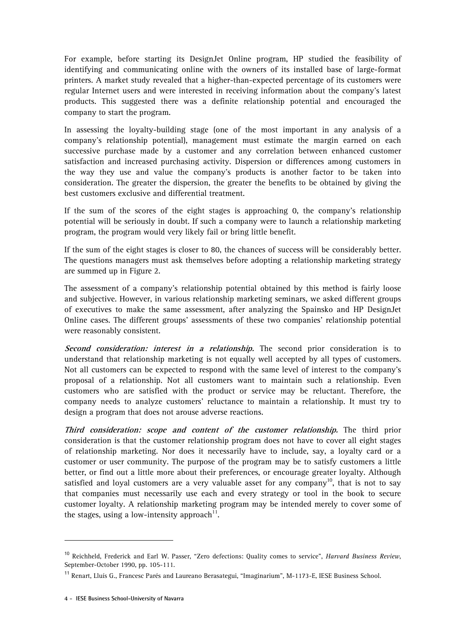For example, before starting its DesignJet Online program, HP studied the feasibility of identifying and communicating online with the owners of its installed base of large-format printers. A market study revealed that a higher-than-expected percentage of its customers were regular Internet users and were interested in receiving information about the company's latest products. This suggested there was a definite relationship potential and encouraged the company to start the program.

In assessing the loyalty-building stage (one of the most important in any analysis of a company's relationship potential), management must estimate the margin earned on each successive purchase made by a customer and any correlation between enhanced customer satisfaction and increased purchasing activity. Dispersion or differences among customers in the way they use and value the company's products is another factor to be taken into consideration. The greater the dispersion, the greater the benefits to be obtained by giving the best customers exclusive and differential treatment.

If the sum of the scores of the eight stages is approaching 0, the company's relationship potential will be seriously in doubt. If such a company were to launch a relationship marketing program, the program would very likely fail or bring little benefit.

If the sum of the eight stages is closer to 80, the chances of success will be considerably better. The questions managers must ask themselves before adopting a relationship marketing strategy are summed up in Figure 2.

The assessment of a company's relationship potential obtained by this method is fairly loose and subjective. However, in various relationship marketing seminars, we asked different groups of executives to make the same assessment, after analyzing the Spainsko and HP DesignJet Online cases. The different groups' assessments of these two companies' relationship potential were reasonably consistent.

**Second consideration: interest in a relationship.** The second prior consideration is to understand that relationship marketing is not equally well accepted by all types of customers. Not all customers can be expected to respond with the same level of interest to the company's proposal of a relationship. Not all customers want to maintain such a relationship. Even customers who are satisfied with the product or service may be reluctant. Therefore, the company needs to analyze customers' reluctance to maintain a relationship. It must try to design a program that does not arouse adverse reactions.

**Third consideration: scope and content of the customer relationship.** The third prior consideration is that the customer relationship program does not have to cover all eight stages of relationship marketing. Nor does it necessarily have to include, say, a loyalty card or a customer or user community. The purpose of the program may be to satisfy customers a little better, or find out a little more about their preferences, or encourage greater loyalty. Although satisfied and loyal customers are a very valuable asset for any company<sup>10</sup>, that is not to say that companies must necessarily use each and every strategy or tool in the book to secure customer loyalty. A relationship marketing program may be intended merely to cover some of the stages, using a low-intensity approach<sup>11</sup>.

 $\overline{a}$ 

<sup>10</sup> Reichheld, Frederick and Earl W. Passer, "Zero defections: Quality comes to service", *Harvard Business Review*, September-October 1990, pp. 105-111.

<sup>11</sup> Renart, Lluís G., Francesc Parés and Laureano Berasategui, "Imaginarium", M-1173-E, IESE Business School.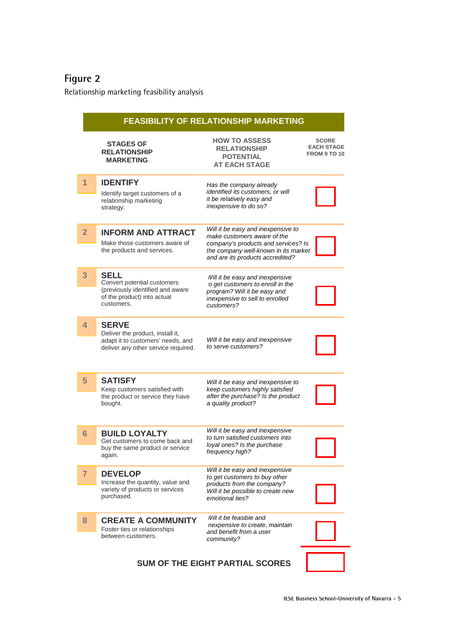Relationship marketing feasibility analysis

| <b>FEASIBILITY OF RELATIONSHIP MARKETING</b> |                                                                                                                              |                                                                                                                                                                                      |                                                          |  |
|----------------------------------------------|------------------------------------------------------------------------------------------------------------------------------|--------------------------------------------------------------------------------------------------------------------------------------------------------------------------------------|----------------------------------------------------------|--|
|                                              | <b>STAGES OF</b><br><b>RELATIONSHIP</b><br><b>MARKETING</b>                                                                  | <b>HOW TO ASSESS</b><br><b>RELATIONSHIP</b><br><b>POTENTIAL</b><br><b>AT EACH STAGE</b>                                                                                              | <b>SCORE</b><br><b>EACH STAGE</b><br><b>FROM 0 TO 10</b> |  |
| 1                                            | <b>IDENTIFY</b><br>Identify target customers of a<br>relationship marketing<br>strategy.                                     | Has the company already<br>identified its customers, or will<br>it be relatively easy and<br>inexpensive to do so?                                                                   |                                                          |  |
| $\overline{2}$                               | <b>INFORM AND ATTRACT</b><br>Make those customers aware of<br>the products and services.                                     | Will it be easy and inexpensive to<br>make customers aware of the<br>company's products and services? Is<br>the company well-known in its market<br>and are its products accredited? |                                                          |  |
| 3                                            | <b>SELL</b><br>Convert potential customers<br>(previously identified and aware<br>of the product) into actual<br>customers.  | Will it be easy and inexpensive<br>to get customers to enroll in the<br>program? Will it be easy and<br>inexpensive to sell to enrolled<br>customers?                                |                                                          |  |
| $\overline{4}$                               | <b>SERVE</b><br>Deliver the product, install it,<br>adapt it to customers' needs, and<br>deliver any other service required. | Will it be easy and inexpensive<br>to serve customers?                                                                                                                               |                                                          |  |
| 5                                            | <b>SATISFY</b><br>Keep customers satisfied with<br>the product or service they have<br>bought.                               | Will it be easy and inexpensive to<br>keep customers highly satisfied<br>after the purchase? Is the product<br>a quality product?                                                    |                                                          |  |
| $6\phantom{1}6$                              | <b>BUILD LOYALTY</b><br>Get customers to come back and<br>buy the same product or service<br>again.                          | Will it be easy and inexpensive<br>to turn satisfied customers into<br>loyal ones? Is the purchase<br>frequency high?                                                                |                                                          |  |
| $\overline{7}$                               | <b>DEVELOP</b><br>Increase the quantity, value and<br>variety of products or services<br>purchased.                          | Will it be easy and inexpensive<br>to get customers to buy other<br>products from the company?<br>Will it be possible to create new<br>emotional ties?                               |                                                          |  |
| 8                                            | <b>CREATE A COMMUNITY</b><br>Foster ties or relationships<br>between customers.                                              | Will it be feasible and<br>inexpensive to create, maintain<br>and benefit from a user<br>community?                                                                                  |                                                          |  |
| <b>SUM OF THE EIGHT PARTIAL SCORES</b>       |                                                                                                                              |                                                                                                                                                                                      |                                                          |  |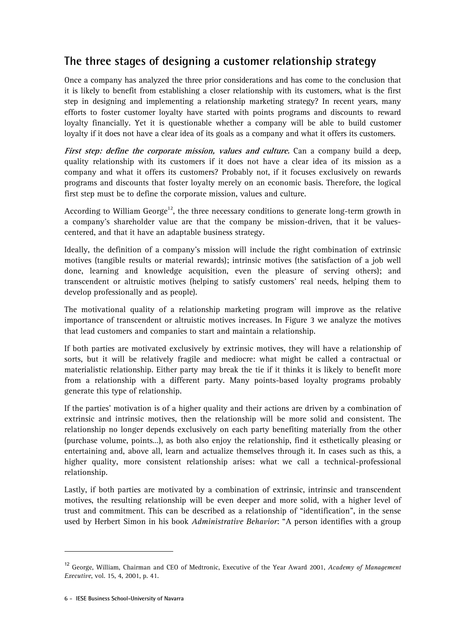# **The three stages of designing a customer relationship strategy**

Once a company has analyzed the three prior considerations and has come to the conclusion that it is likely to benefit from establishing a closer relationship with its customers, what is the first step in designing and implementing a relationship marketing strategy? In recent years, many efforts to foster customer loyalty have started with points programs and discounts to reward loyalty financially. Yet it is questionable whether a company will be able to build customer loyalty if it does not have a clear idea of its goals as a company and what it offers its customers.

First step: define the corporate mission, values and culture. Can a company build a deep, quality relationship with its customers if it does not have a clear idea of its mission as a company and what it offers its customers? Probably not, if it focuses exclusively on rewards programs and discounts that foster loyalty merely on an economic basis. Therefore, the logical first step must be to define the corporate mission, values and culture.

According to William George<sup>12</sup>, the three necessary conditions to generate long-term growth in a company's shareholder value are that the company be mission-driven, that it be valuescentered, and that it have an adaptable business strategy.

Ideally, the definition of a company's mission will include the right combination of extrinsic motives (tangible results or material rewards); intrinsic motives (the satisfaction of a job well done, learning and knowledge acquisition, even the pleasure of serving others); and transcendent or altruistic motives (helping to satisfy customers' real needs, helping them to develop professionally and as people).

The motivational quality of a relationship marketing program will improve as the relative importance of transcendent or altruistic motives increases. In Figure 3 we analyze the motives that lead customers and companies to start and maintain a relationship.

If both parties are motivated exclusively by extrinsic motives, they will have a relationship of sorts, but it will be relatively fragile and mediocre: what might be called a contractual or materialistic relationship. Either party may break the tie if it thinks it is likely to benefit more from a relationship with a different party. Many points-based loyalty programs probably generate this type of relationship.

If the parties' motivation is of a higher quality and their actions are driven by a combination of extrinsic and intrinsic motives, then the relationship will be more solid and consistent. The relationship no longer depends exclusively on each party benefiting materially from the other (purchase volume, points…), as both also enjoy the relationship, find it esthetically pleasing or entertaining and, above all, learn and actualize themselves through it. In cases such as this, a higher quality, more consistent relationship arises: what we call a technical-professional relationship.

Lastly, if both parties are motivated by a combination of extrinsic, intrinsic and transcendent motives, the resulting relationship will be even deeper and more solid, with a higher level of trust and commitment. This can be described as a relationship of "identification", in the sense used by Herbert Simon in his book *Administrative Behavior*: "A person identifies with a group

<sup>12</sup> George, William, Chairman and CEO of Medtronic, Executive of the Year Award 2001, *Academy of Management Executive*, vol. 15, 4, 2001, p. 41.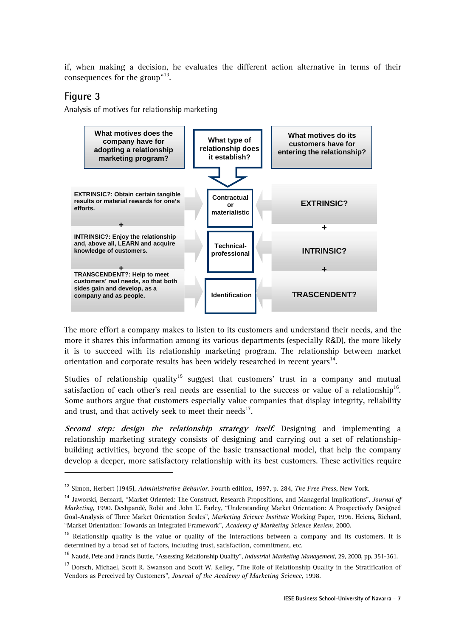if, when making a decision, he evaluates the different action alternative in terms of their consequences for the group"<sup>13</sup>.

#### **Figure 3**

j

Analysis of motives for relationship marketing



The more effort a company makes to listen to its customers and understand their needs, and the more it shares this information among its various departments (especially R&D), the more likely it is to succeed with its relationship marketing program. The relationship between market orientation and corporate results has been widely researched in recent years $^{14}$ .

Studies of relationship quality<sup>15</sup> suggest that customers' trust in a company and mutual satisfaction of each other's real needs are essential to the success or value of a relationship<sup>16</sup>. Some authors argue that customers especially value companies that display integrity, reliability and trust, and that actively seek to meet their needs $^{17}$ .

**Second step: design the relationship strategy itself.** Designing and implementing a relationship marketing strategy consists of designing and carrying out a set of relationshipbuilding activities, beyond the scope of the basic transactional model, that help the company develop a deeper, more satisfactory relationship with its best customers. These activities require

<sup>13</sup> Simon, Herbert (1945), *Administrative Behavior*. Fourth edition, 1997, p. 284, *The Free Press*, New York.

<sup>14</sup> Jaworski, Bernard, "Market Oriented: The Construct, Research Propositions, and Managerial Implications", *Journal of Marketing*, 1990. Deshpandé, Robit and John U. Farley, "Understanding Market Orientation: A Prospectively Designed Goal-Analysis of Three Market Orientation Scales", *Marketing Science Institute* Working Paper, 1996. Heiens, Richard, "Market Orientation: Towards an Integrated Framework", *Academy of Marketing Science Review*, 2000.

 $15$  Relationship quality is the value or quality of the interactions between a company and its customers. It is determined by a broad set of factors, including trust, satisfaction, commitment, etc.

<sup>16</sup> Naudé, Pete and Francis Buttle, "Assessing Relationship Quality", *Industrial Marketing Management*, 29, 2000, pp. 351-361.

<sup>17</sup> Dorsch, Michael, Scott R. Swanson and Scott W. Kelley, "The Role of Relationship Quality in the Stratification of Vendors as Perceived by Customers", *Journal of the Academy of Marketing Science*, 1998.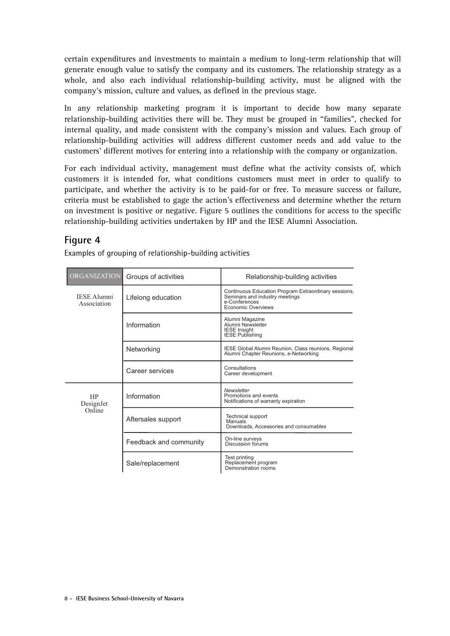certain expenditures and investments to maintain a medium to long-term relationship that will generate enough value to satisfy the company and its customers. The relationship strategy as a whole, and also each individual relationship-building activity, must be aligned with the company's mission, culture and values, as defined in the previous stage.

In any relationship marketing program it is important to decide how many separate relationship-building activities there will be. They must be grouped in "families", checked for internal quality, and made consistent with the company's mission and values. Each group of relationship-building activities will address different customer needs and add value to the customers' different motives for entering into a relationship with the company or organization.

For each individual activity, management must define what the activity consists of, which customers it is intended for, what conditions customers must meet in order to qualify to participate, and whether the activity is to be paid-for or free. To measure success or failure, criteria must be established to gage the action's effectiveness and determine whether the return on investment is positive or negative. Figure 5 outlines the conditions for access to the specific relationship-building activities undertaken by HP and the IESE Alumni Association.

#### **Figure 4**

Examples of grouping of relationship-building activities

| <b>ORGANIZATION</b><br>Groups of activities |                        | Relationship-building activities                                                                                              |  |
|---------------------------------------------|------------------------|-------------------------------------------------------------------------------------------------------------------------------|--|
| <b>IESE Alumni</b><br>Association           | Lifelong education     | Continuous Education Program Extraordinary sessions,<br>Seminars and industry meetings<br>e-Conferences<br>Economic Overviews |  |
|                                             | Information            | Alumni Magazine<br>Alumni Newsletter<br><b>IESE Insight</b><br><b>IESE Publishing</b>                                         |  |
|                                             | Networking             | IESE Global Alumni Reunion, Class reunions, Regional<br>Alumni Chapter Reunions, e-Networking                                 |  |
|                                             | Career services        | Consultations<br>Career development                                                                                           |  |
| <b>HP</b><br>DesignJet                      | Information            | Newsletter<br>Promotions and events<br>Notifications of warranty expiration                                                   |  |
| Online                                      | Aftersales support     | <b>Technical support</b><br>Manuals<br>Downloads, Accessories and consumables                                                 |  |
|                                             | Feedback and community | On-line surveys<br>Discussion forums                                                                                          |  |
|                                             | Sale/replacement       | Test printing<br>Replacement program<br>Demonstration rooms                                                                   |  |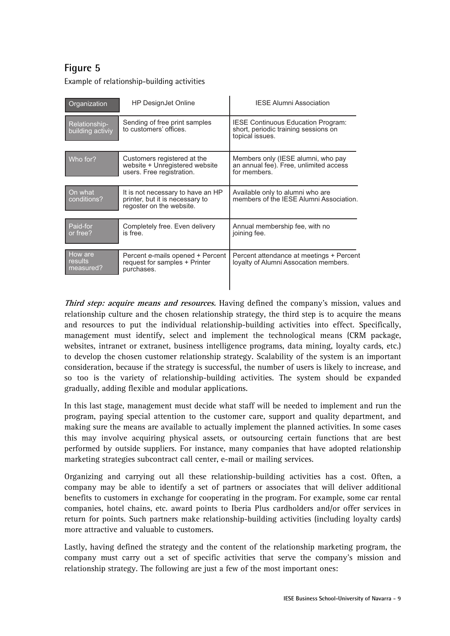Example of relationship-building activities

| Organization                      | <b>HP DesignJet Online</b>                                                                       | <b>IESE Alumni Association</b>                                                                       |
|-----------------------------------|--------------------------------------------------------------------------------------------------|------------------------------------------------------------------------------------------------------|
| Relationship-<br>building activiy | Sending of free print samples<br>to customers' offices.                                          | <b>IESE Continuous Education Program:</b><br>short, periodic training sessions on<br>topical issues. |
| Who for?                          | Customers registered at the<br>website + Unregistered website<br>users. Free registration.       | Members only (IESE alumni, who pay<br>an annual fee). Free, unlimited access<br>for members.         |
| On what<br>conditions?            | It is not necessary to have an HP<br>printer, but it is necessary to<br>regoster on the website. | Available only to alumni who are<br>members of the IESE Alumni Association.                          |
| Paid-for<br>or free?              | Completely free. Even delivery<br>is free.                                                       | Annual membership fee, with no<br>joining fee.                                                       |
| How are<br>results<br>measured?   | Percent e-mails opened + Percent<br>request for samples + Printer<br>purchases.                  | Percent attendance at meetings + Percent<br>loyalty of Alumni Assocation members.                    |

**Third step: acquire means and resources.** Having defined the company's mission, values and relationship culture and the chosen relationship strategy, the third step is to acquire the means and resources to put the individual relationship-building activities into effect. Specifically, management must identify, select and implement the technological means (CRM package, websites, intranet or extranet, business intelligence programs, data mining, loyalty cards, etc.) to develop the chosen customer relationship strategy. Scalability of the system is an important consideration, because if the strategy is successful, the number of users is likely to increase, and so too is the variety of relationship-building activities. The system should be expanded gradually, adding flexible and modular applications.

In this last stage, management must decide what staff will be needed to implement and run the program, paying special attention to the customer care, support and quality department, and making sure the means are available to actually implement the planned activities. In some cases this may involve acquiring physical assets, or outsourcing certain functions that are best performed by outside suppliers. For instance, many companies that have adopted relationship marketing strategies subcontract call center, e-mail or mailing services.

Organizing and carrying out all these relationship-building activities has a cost. Often, a company may be able to identify a set of partners or associates that will deliver additional benefits to customers in exchange for cooperating in the program. For example, some car rental companies, hotel chains, etc. award points to Iberia Plus cardholders and/or offer services in return for points. Such partners make relationship-building activities (including loyalty cards) more attractive and valuable to customers.

Lastly, having defined the strategy and the content of the relationship marketing program, the company must carry out a set of specific activities that serve the company's mission and relationship strategy. The following are just a few of the most important ones: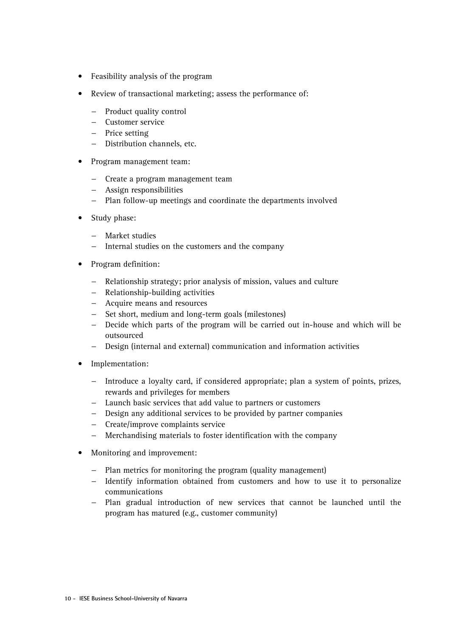- Feasibility analysis of the program
- Review of transactional marketing; assess the performance of:
	- − Product quality control
	- − Customer service
	- − Price setting
	- − Distribution channels, etc.
- Program management team:
	- − Create a program management team
	- − Assign responsibilities
	- − Plan follow-up meetings and coordinate the departments involved
- Study phase:
	- − Market studies
	- − Internal studies on the customers and the company
- Program definition:
	- − Relationship strategy; prior analysis of mission, values and culture
	- − Relationship-building activities
	- − Acquire means and resources
	- − Set short, medium and long-term goals (milestones)
	- − Decide which parts of the program will be carried out in-house and which will be outsourced
	- − Design (internal and external) communication and information activities
- Implementation:
	- − Introduce a loyalty card, if considered appropriate; plan a system of points, prizes, rewards and privileges for members
	- − Launch basic services that add value to partners or customers
	- − Design any additional services to be provided by partner companies
	- − Create/improve complaints service
	- − Merchandising materials to foster identification with the company
- Monitoring and improvement:
	- − Plan metrics for monitoring the program (quality management)
	- − Identify information obtained from customers and how to use it to personalize communications
	- − Plan gradual introduction of new services that cannot be launched until the program has matured (e.g., customer community)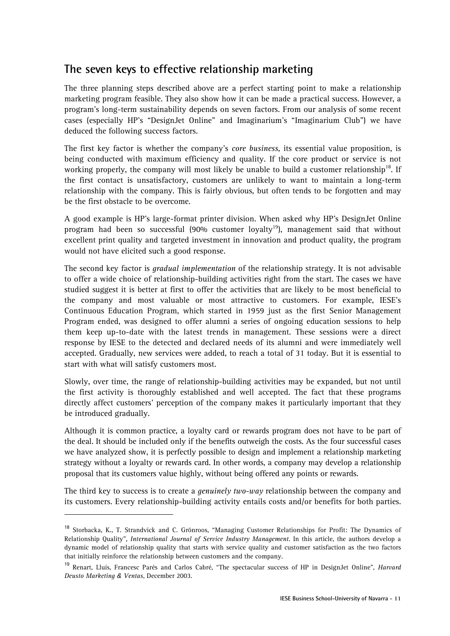## **The seven keys to effective relationship marketing**

The three planning steps described above are a perfect starting point to make a relationship marketing program feasible. They also show how it can be made a practical success. However, a program's long-term sustainability depends on seven factors. From our analysis of some recent cases (especially HP's "DesignJet Online" and Imaginarium's "Imaginarium Club") we have deduced the following success factors.

The first key factor is whether the company's *core business*, its essential value proposition, is being conducted with maximum efficiency and quality. If the core product or service is not working properly, the company will most likely be unable to build a customer relationship<sup>18</sup>. If the first contact is unsatisfactory, customers are unlikely to want to maintain a long-term relationship with the company. This is fairly obvious, but often tends to be forgotten and may be the first obstacle to be overcome.

A good example is HP's large-format printer division. When asked why HP's DesignJet Online program had been so successful  $(90\%$  customer loyalty<sup>19</sup>), management said that without excellent print quality and targeted investment in innovation and product quality, the program would not have elicited such a good response.

The second key factor is *gradual implementation* of the relationship strategy. It is not advisable to offer a wide choice of relationship-building activities right from the start. The cases we have studied suggest it is better at first to offer the activities that are likely to be most beneficial to the company and most valuable or most attractive to customers. For example, IESE's Continuous Education Program, which started in 1959 just as the first Senior Management Program ended, was designed to offer alumni a series of ongoing education sessions to help them keep up-to-date with the latest trends in management. These sessions were a direct response by IESE to the detected and declared needs of its alumni and were immediately well accepted. Gradually, new services were added, to reach a total of 31 today. But it is essential to start with what will satisfy customers most.

Slowly, over time, the range of relationship-building activities may be expanded, but not until the first activity is thoroughly established and well accepted. The fact that these programs directly affect customers' perception of the company makes it particularly important that they be introduced gradually.

Although it is common practice, a loyalty card or rewards program does not have to be part of the deal. It should be included only if the benefits outweigh the costs. As the four successful cases we have analyzed show, it is perfectly possible to design and implement a relationship marketing strategy without a loyalty or rewards card. In other words, a company may develop a relationship proposal that its customers value highly, without being offered any points or rewards.

The third key to success is to create a *genuinely two-way* relationship between the company and its customers. Every relationship-building activity entails costs and/or benefits for both parties.

<sup>&</sup>lt;sup>18</sup> Storbacka, K., T. Strandvick and C. Grönroos, "Managing Customer Relationships for Profit: The Dynamics of Relationship Quality", *International Journal of Service Industry Management*. In this article, the authors develop a dynamic model of relationship quality that starts with service quality and customer satisfaction as the two factors that initially reinforce the relationship between customers and the company.

<sup>19</sup> Renart, Lluís, Francesc Parés and Carlos Cabré, "The spectacular success of HP in DesignJet Online", *Harvard Deusto Marketing & Ventas*, December 2003.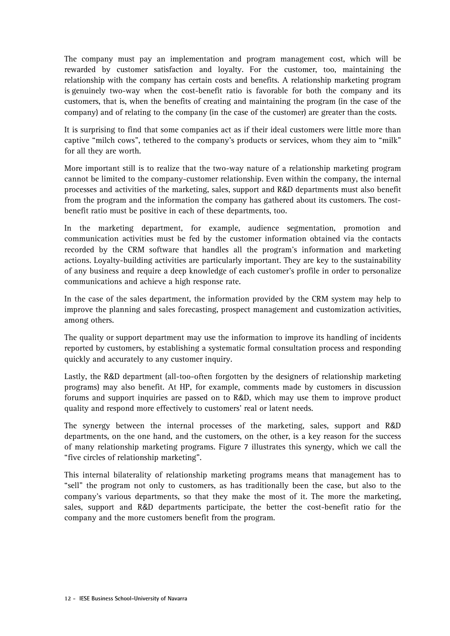The company must pay an implementation and program management cost, which will be rewarded by customer satisfaction and loyalty. For the customer, too, maintaining the relationship with the company has certain costs and benefits. A relationship marketing program is genuinely two-way when the cost-benefit ratio is favorable for both the company and its customers, that is, when the benefits of creating and maintaining the program (in the case of the company) and of relating to the company (in the case of the customer) are greater than the costs.

It is surprising to find that some companies act as if their ideal customers were little more than captive "milch cows", tethered to the company's products or services, whom they aim to "milk" for all they are worth.

More important still is to realize that the two-way nature of a relationship marketing program cannot be limited to the company-customer relationship. Even within the company, the internal processes and activities of the marketing, sales, support and R&D departments must also benefit from the program and the information the company has gathered about its customers. The costbenefit ratio must be positive in each of these departments, too.

In the marketing department, for example, audience segmentation, promotion and communication activities must be fed by the customer information obtained via the contacts recorded by the CRM software that handles all the program's information and marketing actions. Loyalty-building activities are particularly important. They are key to the sustainability of any business and require a deep knowledge of each customer's profile in order to personalize communications and achieve a high response rate.

In the case of the sales department, the information provided by the CRM system may help to improve the planning and sales forecasting, prospect management and customization activities, among others.

The quality or support department may use the information to improve its handling of incidents reported by customers, by establishing a systematic formal consultation process and responding quickly and accurately to any customer inquiry.

Lastly, the R&D department (all-too-often forgotten by the designers of relationship marketing programs) may also benefit. At HP, for example, comments made by customers in discussion forums and support inquiries are passed on to R&D, which may use them to improve product quality and respond more effectively to customers' real or latent needs.

The synergy between the internal processes of the marketing, sales, support and R&D departments, on the one hand, and the customers, on the other, is a key reason for the success of many relationship marketing programs. Figure 7 illustrates this synergy, which we call the "five circles of relationship marketing".

This internal bilaterality of relationship marketing programs means that management has to "sell" the program not only to customers, as has traditionally been the case, but also to the company's various departments, so that they make the most of it. The more the marketing, sales, support and R&D departments participate, the better the cost-benefit ratio for the company and the more customers benefit from the program.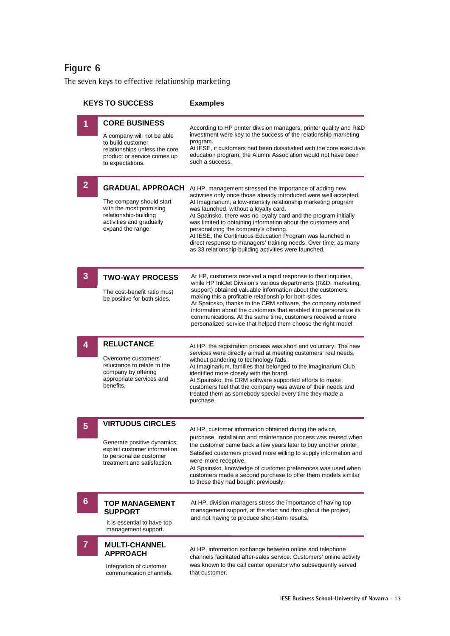The seven keys to effective relationship marketing

| <b>KEYS TO SUCCESS</b> |                                                                                                                                                             | <b>Examples</b>                                                                                                                                                                                                                                                                                                                                                                                                                                                                                                                                                                                               |
|------------------------|-------------------------------------------------------------------------------------------------------------------------------------------------------------|---------------------------------------------------------------------------------------------------------------------------------------------------------------------------------------------------------------------------------------------------------------------------------------------------------------------------------------------------------------------------------------------------------------------------------------------------------------------------------------------------------------------------------------------------------------------------------------------------------------|
| 1                      | <b>CORE BUSINESS</b><br>A company will not be able<br>to build customer<br>relationships unless the core<br>product or service comes up<br>to expectations. | According to HP printer division managers, printer quality and R&D<br>investment were key to the success of the relationship marketing<br>program.<br>At IESE, if customers had been dissatisfied with the core executive<br>education program, the Alumni Association would not have been<br>such a success.                                                                                                                                                                                                                                                                                                 |
| $\mathbf{2}$           | <b>GRADUAL APPROACH</b><br>The company should start<br>with the most promising<br>relationship-building<br>activities and gradually<br>expand the range.    | At HP, management stressed the importance of adding new<br>activities only once those already introduced were well accepted.<br>At Imaginarium, a low-intensity relationship marketing program<br>was launched, without a loyalty card.<br>At Spainsko, there was no loyalty card and the program initially<br>was limited to obtaining information about the customers and<br>personalizing the company's offering.<br>At IESE, the Continuous Education Program was launched in<br>direct response to managers' training needs. Over time, as many<br>as 33 relationship-building activities were launched. |
| 3                      | <b>TWO-WAY PROCESS</b><br>The cost-benefit ratio must<br>be positive for both sides.                                                                        | At HP, customers received a rapid response to their inquiries,<br>while HP InkJet Division's various departments (R&D, marketing,<br>support) obtained valuable information about the customers,<br>making this a profitable relationship for both sides.<br>At Spainsko, thanks to the CRM software, the company obtained<br>information about the customers that enabled it to personalize its<br>communications. At the same time, customers received a more<br>personalized service that helped them choose the right model.                                                                              |
| 4                      | <b>RELUCTANCE</b><br>Overcome customers'<br>reluctance to relate to the<br>company by offering<br>appropriate services and<br>benefits.                     | At HP, the registration process was short and voluntary. The new<br>services were directly aimed at meeting customers' real needs,<br>without pandering to technology fads.<br>At Imaginarium, families that belonged to the Imaginarium Club<br>identified more closely with the brand.<br>At Spainsko, the CRM software supported efforts to make<br>customers feel that the company was aware of their needs and<br>treated them as somebody special every time they made a<br>purchase.                                                                                                                   |
| 5                      | <b>VIRTUOUS CIRCLES</b><br>Generate positive dynamics;<br>exploit customer information<br>to personalize customer<br>treatment and satisfaction.            | At HP, customer information obtained during the advice,<br>purchase, installation and maintenance process was reused when<br>the customer came back a few years later to buy another printer.<br>Satisfied customers proved more willing to supply information and<br>were more receptive.<br>At Spainsko, knowledge of customer preferences was used when<br>customers made a second purchase to offer them models similar<br>to those they had bought previously.                                                                                                                                           |
| 6                      | <b>TOP MANAGEMENT</b><br><b>SUPPORT</b><br>It is essential to have top<br>management support.                                                               | At HP, division managers stress the importance of having top<br>management support, at the start and throughout the project,<br>and not having to produce short-term results.                                                                                                                                                                                                                                                                                                                                                                                                                                 |
| 7                      | <b>MULTI-CHANNEL</b><br><b>APPROACH</b><br>Integration of customer<br>communication channels.                                                               | At HP, information exchange between online and telephone<br>channels facilitated after-sales service. Customers' online activity<br>was known to the call center operator who subsequently served<br>that customer.                                                                                                                                                                                                                                                                                                                                                                                           |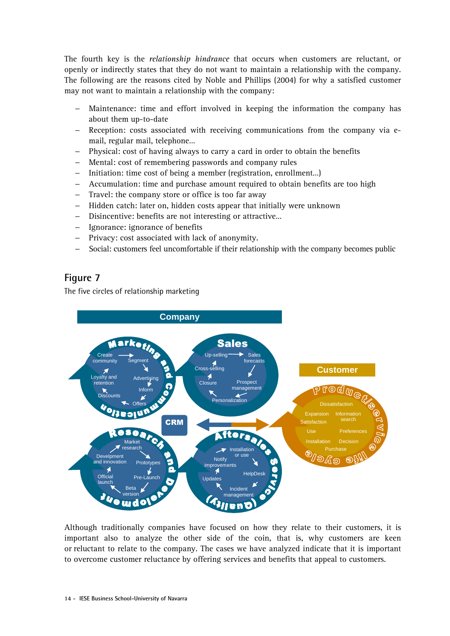The fourth key is the *relationship hindrance* that occurs when customers are reluctant, or openly or indirectly states that they do not want to maintain a relationship with the company. The following are the reasons cited by Noble and Phillips (2004) for why a satisfied customer may not want to maintain a relationship with the company:

- Maintenance: time and effort involved in keeping the information the company has about them up-to-date
- − Reception: costs associated with receiving communications from the company via email, regular mail, telephone…
- Physical: cost of having always to carry a card in order to obtain the benefits
- − Mental: cost of remembering passwords and company rules
- Initiation: time cost of being a member (registration, enrollment...)
- − Accumulation: time and purchase amount required to obtain benefits are too high
- Travel: the company store or office is too far away
- Hidden catch: later on, hidden costs appear that initially were unknown
- − Disincentive: benefits are not interesting or attractive…
- − Ignorance: ignorance of benefits
- Privacy: cost associated with lack of anonymity.
- − Social: customers feel uncomfortable if their relationship with the company becomes public

#### **Figure 7**

The five circles of relationship marketing



Although traditionally companies have focused on how they relate to their customers, it is important also to analyze the other side of the coin, that is, why customers are keen or reluctant to relate to the company. The cases we have analyzed indicate that it is important to overcome customer reluctance by offering services and benefits that appeal to customers.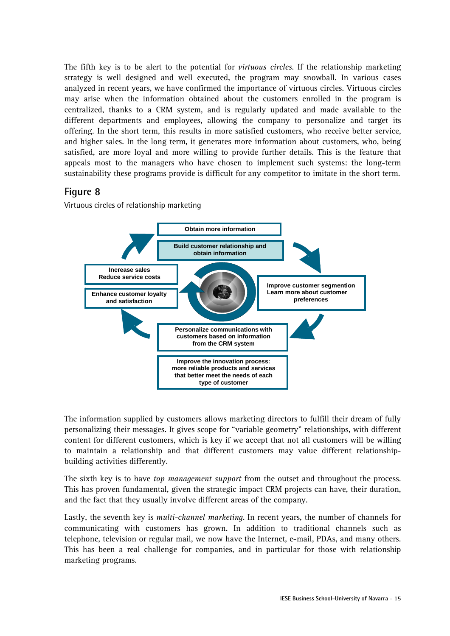The fifth key is to be alert to the potential for *virtuous circles*. If the relationship marketing strategy is well designed and well executed, the program may snowball. In various cases analyzed in recent years, we have confirmed the importance of virtuous circles. Virtuous circles may arise when the information obtained about the customers enrolled in the program is centralized, thanks to a CRM system, and is regularly updated and made available to the different departments and employees, allowing the company to personalize and target its offering. In the short term, this results in more satisfied customers, who receive better service, and higher sales. In the long term, it generates more information about customers, who, being satisfied, are more loyal and more willing to provide further details. This is the feature that appeals most to the managers who have chosen to implement such systems: the long-term sustainability these programs provide is difficult for any competitor to imitate in the short term.

#### **Figure 8**

Virtuous circles of relationship marketing



The information supplied by customers allows marketing directors to fulfill their dream of fully personalizing their messages. It gives scope for "variable geometry" relationships, with different content for different customers, which is key if we accept that not all customers will be willing to maintain a relationship and that different customers may value different relationshipbuilding activities differently.

The sixth key is to have *top management support* from the outset and throughout the process. This has proven fundamental, given the strategic impact CRM projects can have, their duration, and the fact that they usually involve different areas of the company.

Lastly, the seventh key is *multi-channel marketing*. In recent years, the number of channels for communicating with customers has grown. In addition to traditional channels such as telephone, television or regular mail, we now have the Internet, e-mail, PDAs, and many others. This has been a real challenge for companies, and in particular for those with relationship marketing programs.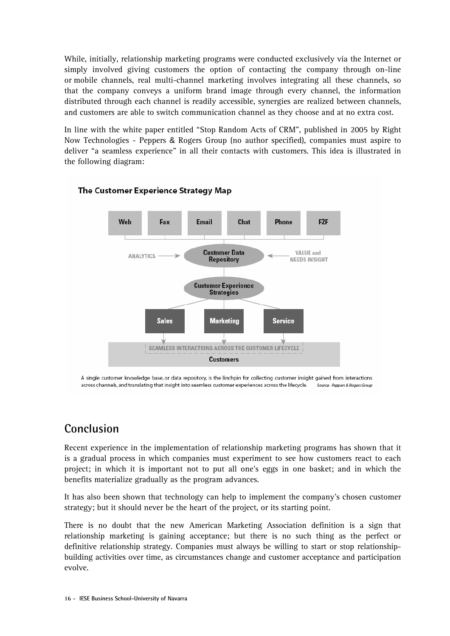While, initially, relationship marketing programs were conducted exclusively via the Internet or simply involved giving customers the option of contacting the company through on-line or mobile channels, real multi-channel marketing involves integrating all these channels, so that the company conveys a uniform brand image through every channel, the information distributed through each channel is readily accessible, synergies are realized between channels, and customers are able to switch communication channel as they choose and at no extra cost.

In line with the white paper entitled "Stop Random Acts of CRM", published in 2005 by Right Now Technologies - Peppers & Rogers Group (no author specified), companies must aspire to deliver "a seamless experience" in all their contacts with customers. This idea is illustrated in the following diagram:



#### The Customer Experience Strategy Map

A single customer knowledge base, or data repository, is the linchpin for collecting customer insight gained from interactions across channels, and translating that insight into seamless customer experiences across the lifecycle. Source: Peppers & Rogers Group

## **Conclusion**

Recent experience in the implementation of relationship marketing programs has shown that it is a gradual process in which companies must experiment to see how customers react to each project; in which it is important not to put all one's eggs in one basket; and in which the benefits materialize gradually as the program advances.

It has also been shown that technology can help to implement the company's chosen customer strategy; but it should never be the heart of the project, or its starting point.

There is no doubt that the new American Marketing Association definition is a sign that relationship marketing is gaining acceptance; but there is no such thing as the perfect or definitive relationship strategy. Companies must always be willing to start or stop relationshipbuilding activities over time, as circumstances change and customer acceptance and participation evolve.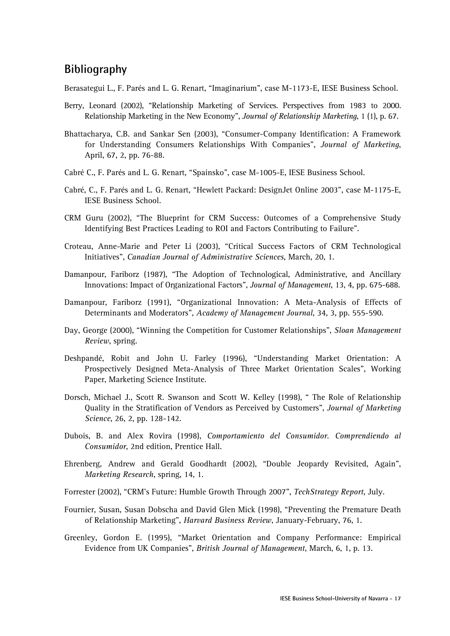### **Bibliography**

Berasategui L., F. Parés and L. G. Renart, "Imaginarium", case M-1173-E, IESE Business School.

- Berry, Leonard (2002), "Relationship Marketing of Services. Perspectives from 1983 to 2000. Relationship Marketing in the New Economy", *Journal of Relationship Marketing*, 1 (1), p. 67.
- Bhattacharya, C.B. and Sankar Sen (2003), "Consumer-Company Identification: A Framework for Understanding Consumers Relationships With Companies", *Journal of Marketing*, April, 67, 2, pp. 76-88.
- Cabré C., F. Parés and L. G. Renart, "Spainsko", case M-1005-E, IESE Business School.
- Cabré, C., F. Parés and L. G. Renart, "Hewlett Packard: DesignJet Online 2003", case M-1175-E, IESE Business School.
- CRM Guru (2002), "The Blueprint for CRM Success: Outcomes of a Comprehensive Study Identifying Best Practices Leading to ROI and Factors Contributing to Failure".
- Croteau, Anne-Marie and Peter Li (2003), "Critical Success Factors of CRM Technological Initiatives", *Canadian Journal of Administrative Sciences*, March, 20, 1.
- Damanpour, Fariborz (1987), "The Adoption of Technological, Administrative, and Ancillary Innovations: Impact of Organizational Factors", *Journal of Management*, 13, 4, pp. 675-688.
- Damanpour, Fariborz (1991), "Organizational Innovation: A Meta-Analysis of Effects of Determinants and Moderators", *Academy of Management Journal*, 34, 3, pp. 555-590.
- Day, George (2000), "Winning the Competition for Customer Relationships", *Sloan Management Review*, spring.
- Deshpandé, Robit and John U. Farley (1996), "Understanding Market Orientation: A Prospectively Designed Meta-Analysis of Three Market Orientation Scales", Working Paper, Marketing Science Institute.
- Dorsch, Michael J., Scott R. Swanson and Scott W. Kelley (1998), " The Role of Relationship Quality in the Stratification of Vendors as Perceived by Customers", *Journal of Marketing Science*, 26, 2, pp. 128-142.
- Dubois, B. and Alex Rovira (1998), *Comportamiento del Consumidor. Comprendiendo al Consumidor*, 2nd edition, Prentice Hall.
- Ehrenberg, Andrew and Gerald Goodhardt (2002), "Double Jeopardy Revisited, Again", *Marketing Research*, spring, 14, 1.
- Forrester (2002), "CRM's Future: Humble Growth Through 2007", *TechStrategy Report*, July.
- Fournier, Susan, Susan Dobscha and David Glen Mick (1998), "Preventing the Premature Death of Relationship Marketing", *Harvard Business Review*, January-February, 76, 1.
- Greenley, Gordon E. (1995), "Market Orientation and Company Performance: Empirical Evidence from UK Companies", *British Journal of Management*, March, 6, 1, p. 13.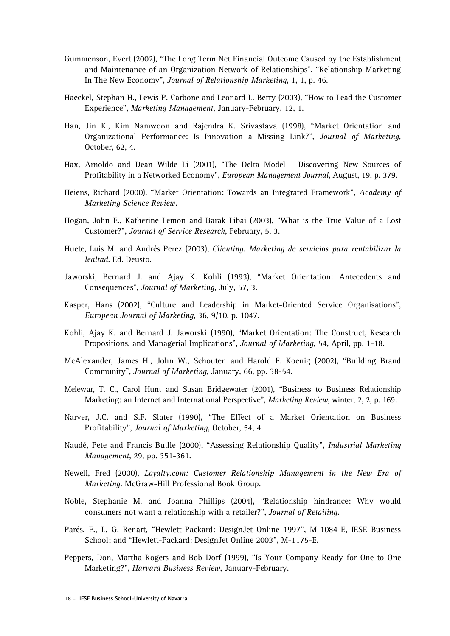- Gummenson, Evert (2002), "The Long Term Net Financial Outcome Caused by the Establishment and Maintenance of an Organization Network of Relationships", "Relationship Marketing In The New Economy", *Journal of Relationship Marketing*, 1, 1, p. 46.
- Haeckel, Stephan H., Lewis P. Carbone and Leonard L. Berry (2003), "How to Lead the Customer Experience", *Marketing Management*, January-February, 12, 1.
- Han, Jin K., Kim Namwoon and Rajendra K. Srivastava (1998), "Market Orientation and Organizational Performance: Is Innovation a Missing Link?", *Journal of Marketing*, October, 62, 4.
- Hax, Arnoldo and Dean Wilde Li (2001), "The Delta Model Discovering New Sources of Profitability in a Networked Economy", *European Management Journal*, August, 19, p. 379.
- Heiens, Richard (2000), "Market Orientation: Towards an Integrated Framework", *Academy of Marketing Science Review*.
- Hogan, John E., Katherine Lemon and Barak Libai (2003), "What is the True Value of a Lost Customer?", *Journal of Service Research*, February, 5, 3.
- Huete, Luis M. and Andrés Perez (2003), *Clienting. Marketing de servicios para rentabilizar la lealtad*. Ed. Deusto.
- Jaworski, Bernard J. and Ajay K. Kohli (1993), "Market Orientation: Antecedents and Consequences", *Journal of Marketing*, July, 57, 3.
- Kasper, Hans (2002), "Culture and Leadership in Market-Oriented Service Organisations", *European Journal of Marketing*, 36, 9/10, p. 1047.
- Kohli, Ajay K. and Bernard J. Jaworski (1990), "Market Orientation: The Construct, Research Propositions, and Managerial Implications", *Journal of Marketing*, 54, April, pp. 1-18.
- McAlexander, James H., John W., Schouten and Harold F. Koenig (2002), "Building Brand Community", *Journal of Marketing*, January, 66, pp. 38-54.
- Melewar, T. C., Carol Hunt and Susan Bridgewater (2001), "Business to Business Relationship Marketing: an Internet and International Perspective", *Marketing Review*, winter, 2, 2, p. 169.
- Narver, J.C. and S.F. Slater (1990), "The Effect of a Market Orientation on Business Profitability", *Journal of Marketing*, October, 54, 4.
- Naudé, Pete and Francis Butlle (2000), "Assessing Relationship Quality", *Industrial Marketing Management*, 29, pp. 351-361.
- Newell, Fred (2000), *Loyalty.com: Customer Relationship Management in the New Era of Marketing*. McGraw-Hill Professional Book Group.
- Noble, Stephanie M. and Joanna Phillips (2004), "Relationship hindrance: Why would consumers not want a relationship with a retailer?", *Journal of Retailing*.
- Parés, F., L. G. Renart, "Hewlett-Packard: DesignJet Online 1997", M-1084-E, IESE Business School; and "Hewlett-Packard: DesignJet Online 2003", M-1175-E.
- Peppers, Don, Martha Rogers and Bob Dorf (1999), "Is Your Company Ready for One-to-One Marketing?", *Harvard Business Review*, January-February.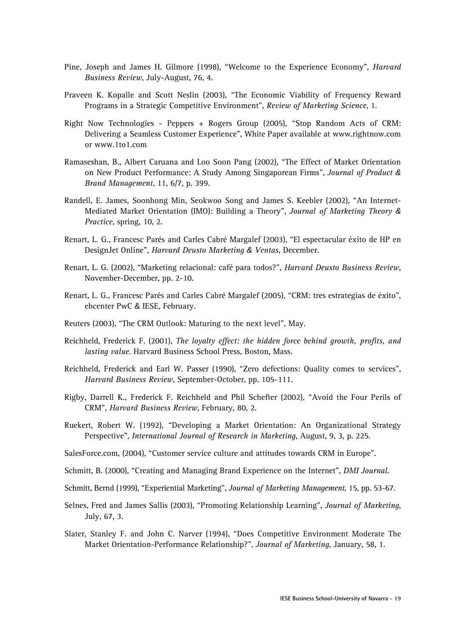- Pine, Joseph and James H. Gilmore (1998), "Welcome to the Experience Economy", *Harvard Business Review*, July-August, 76, 4.
- Praveen K. Kopalle and Scott Neslin (2003), "The Economic Viability of Frequency Reward Programs in a Strategic Competitive Environment", *Review of Marketing Science*, 1.
- Right Now Technologies Peppers + Rogers Group (2005), "Stop Random Acts of CRM: Delivering a Seamless Customer Experience", White Paper available at www.rightnow.com or www.1to1.com
- Ramaseshan, B., Albert Caruana and Loo Soon Pang (2002), "The Effect of Market Orientation on New Product Performance: A Study Among Singaporean Firms", *Journal of Product & Brand Management*, 11, 6/7, p. 399.
- Randell, E. James, Soonhong Min, Seokwoo Song and James S. Keebler (2002), "An Internet-Mediated Market Orientation (IMO): Building a Theory", *Journal of Marketing Theory & Practice*, spring, 10, 2.
- Renart, L. G., Francesc Parés and Carles Cabré Margalef (2003), "El espectacular éxito de HP en DesignJet Online", *Harvard Deusto Marketing & Ventas*, December.
- Renart, L. G. (2002), "Marketing relacional: café para todos?", *Harvard Deusto Business Review*, November-December, pp. 2-10.
- Renart, L. G., Francesc Parés and Carles Cabré Margalef (2005), "CRM: tres estrategias de éxito", ebcenter PwC & IESE, February.
- Reuters (2003), "The CRM Outlook: Maturing to the next level", May.
- Reichheld, Frederick F. (2001), *The loyalty effect: the hidden force behind growth, profits, and lasting value*. Harvard Business School Press, Boston, Mass.
- Reichheld, Frederick and Earl W. Passer (1990), "Zero defections: Quality comes to services", *Harvard Business Review*, September-October, pp. 105-111.
- Rigby, Darrell K., Frederick F. Reichheld and Phil Schefter (2002), "Avoid the Four Perils of CRM", *Harvard Business Review*, February, 80, 2.
- Ruekert, Robert W. (1992), "Developing a Market Orientation: An Organizational Strategy Perspective", *International Journal of Research in Marketing*, August, 9, 3, p. 225.
- SalesForce.com, (2004), "Customer service culture and attitudes towards CRM in Europe".
- Schmitt, B. (2000), "Creating and Managing Brand Experience on the Internet", *DMI Journal*.
- Schmitt, Bernd (1999), "Experiential Marketing", *Journal of Marketing Management*, 15, pp. 53-67.
- Selnes, Fred and James Sallis (2003), "Promoting Relationship Learning", *Journal of Marketing*, July, 67, 3.
- Slater, Stanley F. and John C. Narver (1994), "Does Competitive Environment Moderate The Market Orientation-Performance Relationship?", *Journal of Marketing*, January, 58, 1.